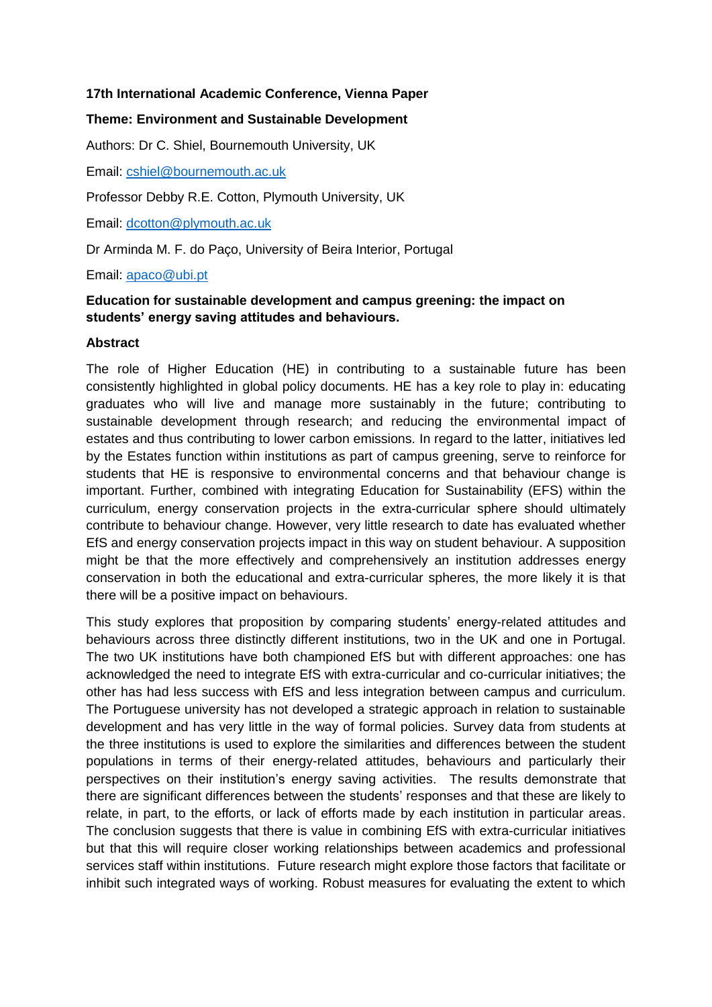### **17th International Academic Conference, Vienna Paper**

## **Theme: Environment and Sustainable Development**

Authors: Dr C. Shiel, Bournemouth University, UK

Email: [cshiel@bournemouth.ac.uk](mailto:cshiel@bournemouth.ac.uk)

Professor Debby R.E. Cotton, Plymouth University, UK

Email: [dcotton@plymouth.ac.uk](mailto:dcotton@plymouth.ac.uk)

Dr Arminda M. F. do Paço, University of Beira Interior, Portugal

Email: [apaco@ubi.pt](mailto:apaco@ubi.pt)

# **Education for sustainable development and campus greening: the impact on students' energy saving attitudes and behaviours.**

### **Abstract**

The role of Higher Education (HE) in contributing to a sustainable future has been consistently highlighted in global policy documents. HE has a key role to play in: educating graduates who will live and manage more sustainably in the future; contributing to sustainable development through research; and reducing the environmental impact of estates and thus contributing to lower carbon emissions. In regard to the latter, initiatives led by the Estates function within institutions as part of campus greening, serve to reinforce for students that HE is responsive to environmental concerns and that behaviour change is important. Further, combined with integrating Education for Sustainability (EFS) within the curriculum, energy conservation projects in the extra-curricular sphere should ultimately contribute to behaviour change. However, very little research to date has evaluated whether EfS and energy conservation projects impact in this way on student behaviour. A supposition might be that the more effectively and comprehensively an institution addresses energy conservation in both the educational and extra-curricular spheres, the more likely it is that there will be a positive impact on behaviours.

This study explores that proposition by comparing students' energy-related attitudes and behaviours across three distinctly different institutions, two in the UK and one in Portugal. The two UK institutions have both championed EfS but with different approaches: one has acknowledged the need to integrate EfS with extra-curricular and co-curricular initiatives; the other has had less success with EfS and less integration between campus and curriculum. The Portuguese university has not developed a strategic approach in relation to sustainable development and has very little in the way of formal policies. Survey data from students at the three institutions is used to explore the similarities and differences between the student populations in terms of their energy-related attitudes, behaviours and particularly their perspectives on their institution's energy saving activities. The results demonstrate that there are significant differences between the students' responses and that these are likely to relate, in part, to the efforts, or lack of efforts made by each institution in particular areas. The conclusion suggests that there is value in combining EfS with extra-curricular initiatives but that this will require closer working relationships between academics and professional services staff within institutions. Future research might explore those factors that facilitate or inhibit such integrated ways of working. Robust measures for evaluating the extent to which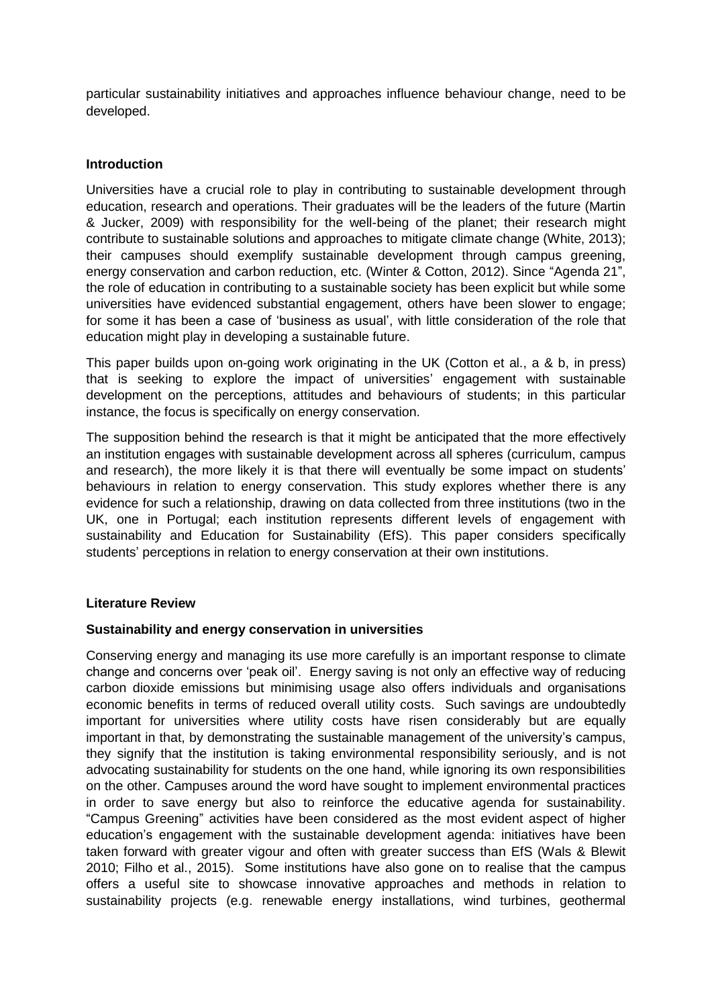particular sustainability initiatives and approaches influence behaviour change, need to be developed.

#### **Introduction**

Universities have a crucial role to play in contributing to sustainable development through education, research and operations. Their graduates will be the leaders of the future (Martin & Jucker, 2009) with responsibility for the well-being of the planet; their research might contribute to sustainable solutions and approaches to mitigate climate change (White, 2013); their campuses should exemplify sustainable development through campus greening, energy conservation and carbon reduction, etc. (Winter & Cotton, 2012). Since "Agenda 21", the role of education in contributing to a sustainable society has been explicit but while some universities have evidenced substantial engagement, others have been slower to engage; for some it has been a case of 'business as usual', with little consideration of the role that education might play in developing a sustainable future.

This paper builds upon on-going work originating in the UK (Cotton et al., a & b, in press) that is seeking to explore the impact of universities' engagement with sustainable development on the perceptions, attitudes and behaviours of students; in this particular instance, the focus is specifically on energy conservation.

The supposition behind the research is that it might be anticipated that the more effectively an institution engages with sustainable development across all spheres (curriculum, campus and research), the more likely it is that there will eventually be some impact on students' behaviours in relation to energy conservation. This study explores whether there is any evidence for such a relationship, drawing on data collected from three institutions (two in the UK, one in Portugal; each institution represents different levels of engagement with sustainability and Education for Sustainability (EfS). This paper considers specifically students' perceptions in relation to energy conservation at their own institutions.

#### **Literature Review**

#### **Sustainability and energy conservation in universities**

Conserving energy and managing its use more carefully is an important response to climate change and concerns over 'peak oil'. Energy saving is not only an effective way of reducing carbon dioxide emissions but minimising usage also offers individuals and organisations economic benefits in terms of reduced overall utility costs. Such savings are undoubtedly important for universities where utility costs have risen considerably but are equally important in that, by demonstrating the sustainable management of the university's campus, they signify that the institution is taking environmental responsibility seriously, and is not advocating sustainability for students on the one hand, while ignoring its own responsibilities on the other. Campuses around the word have sought to implement environmental practices in order to save energy but also to reinforce the educative agenda for sustainability. "Campus Greening" activities have been considered as the most evident aspect of higher education's engagement with the sustainable development agenda: initiatives have been taken forward with greater vigour and often with greater success than EfS (Wals & Blewit 2010; Filho et al., 2015). Some institutions have also gone on to realise that the campus offers a useful site to showcase innovative approaches and methods in relation to sustainability projects (e.g. renewable energy installations, wind turbines, geothermal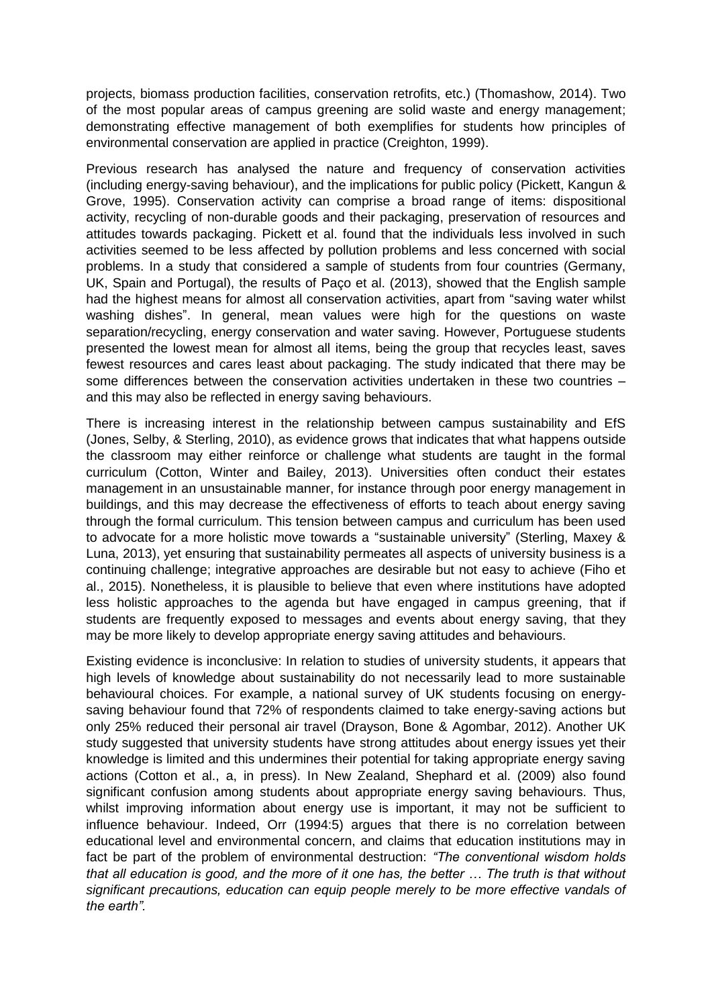projects, biomass production facilities, conservation retrofits, etc.) (Thomashow, 2014). Two of the most popular areas of campus greening are solid waste and energy management; demonstrating effective management of both exemplifies for students how principles of environmental conservation are applied in practice (Creighton, 1999).

Previous research has analysed the nature and frequency of conservation activities (including energy-saving behaviour), and the implications for public policy (Pickett, Kangun & Grove, 1995). Conservation activity can comprise a broad range of items: dispositional activity, recycling of non-durable goods and their packaging, preservation of resources and attitudes towards packaging. Pickett et al. found that the individuals less involved in such activities seemed to be less affected by pollution problems and less concerned with social problems. In a study that considered a sample of students from four countries (Germany, UK, Spain and Portugal), the results of Paço et al. (2013), showed that the English sample had the highest means for almost all conservation activities, apart from "saving water whilst washing dishes". In general, mean values were high for the questions on waste separation/recycling, energy conservation and water saving. However, Portuguese students presented the lowest mean for almost all items, being the group that recycles least, saves fewest resources and cares least about packaging. The study indicated that there may be some differences between the conservation activities undertaken in these two countries – and this may also be reflected in energy saving behaviours.

There is increasing interest in the relationship between campus sustainability and EfS (Jones, Selby, & Sterling, 2010), as evidence grows that indicates that what happens outside the classroom may either reinforce or challenge what students are taught in the formal curriculum (Cotton, Winter and Bailey, 2013). Universities often conduct their estates management in an unsustainable manner, for instance through poor energy management in buildings, and this may decrease the effectiveness of efforts to teach about energy saving through the formal curriculum. This tension between campus and curriculum has been used to advocate for a more holistic move towards a "sustainable university" (Sterling, Maxey & Luna, 2013), yet ensuring that sustainability permeates all aspects of university business is a continuing challenge; integrative approaches are desirable but not easy to achieve (Fiho et al., 2015). Nonetheless, it is plausible to believe that even where institutions have adopted less holistic approaches to the agenda but have engaged in campus greening, that if students are frequently exposed to messages and events about energy saving, that they may be more likely to develop appropriate energy saving attitudes and behaviours.

Existing evidence is inconclusive: In relation to studies of university students, it appears that high levels of knowledge about sustainability do not necessarily lead to more sustainable behavioural choices. For example, a national survey of UK students focusing on energysaving behaviour found that 72% of respondents claimed to take energy-saving actions but only 25% reduced their personal air travel (Drayson, Bone & Agombar, 2012). Another UK study suggested that university students have strong attitudes about energy issues yet their knowledge is limited and this undermines their potential for taking appropriate energy saving actions (Cotton et al., a, in press). In New Zealand, Shephard et al. (2009) also found significant confusion among students about appropriate energy saving behaviours. Thus, whilst improving information about energy use is important, it may not be sufficient to influence behaviour. Indeed, Orr (1994:5) argues that there is no correlation between educational level and environmental concern, and claims that education institutions may in fact be part of the problem of environmental destruction: *"The conventional wisdom holds that all education is good, and the more of it one has, the better … The truth is that without significant precautions, education can equip people merely to be more effective vandals of the earth".*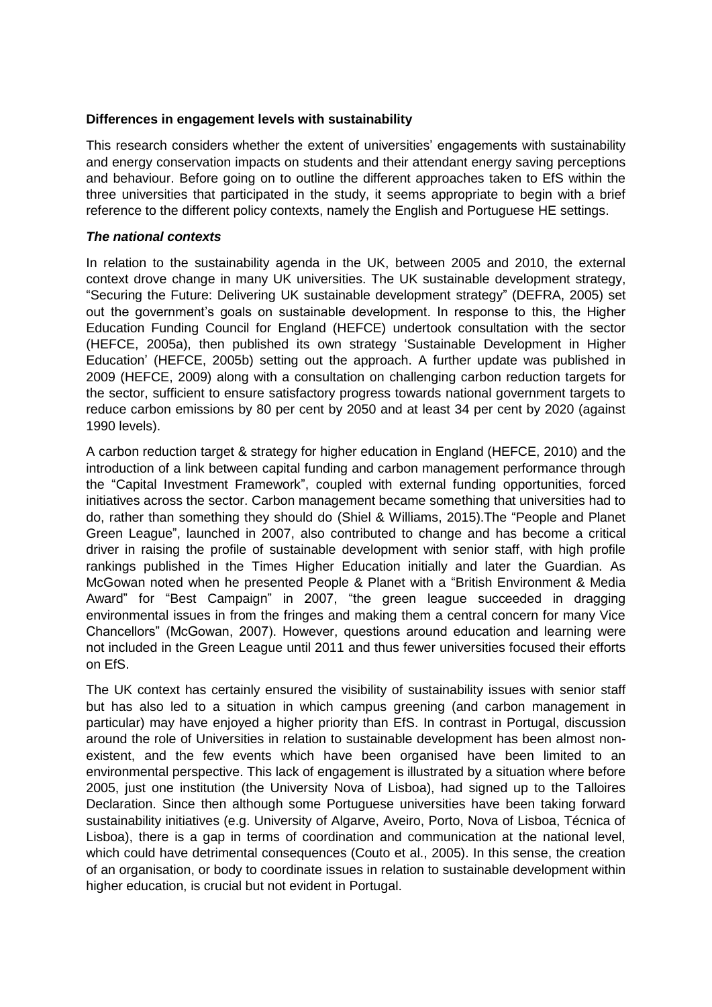### **Differences in engagement levels with sustainability**

This research considers whether the extent of universities' engagements with sustainability and energy conservation impacts on students and their attendant energy saving perceptions and behaviour. Before going on to outline the different approaches taken to EfS within the three universities that participated in the study, it seems appropriate to begin with a brief reference to the different policy contexts, namely the English and Portuguese HE settings.

#### *The national contexts*

In relation to the sustainability agenda in the UK, between 2005 and 2010, the external context drove change in many UK universities. The UK sustainable development strategy, "Securing the Future: Delivering UK sustainable development strategy" (DEFRA, 2005) set out the government's goals on sustainable development. In response to this, the Higher Education Funding Council for England (HEFCE) undertook consultation with the sector (HEFCE, 2005a), then published its own strategy 'Sustainable Development in Higher Education' (HEFCE, 2005b) setting out the approach. A further update was published in 2009 (HEFCE, 2009) along with a consultation on challenging carbon reduction targets for the sector, sufficient to ensure satisfactory progress towards national government targets to reduce carbon emissions by 80 per cent by 2050 and at least 34 per cent by 2020 (against 1990 levels).

A carbon reduction target & strategy for higher education in England (HEFCE, 2010) and the introduction of a link between capital funding and carbon management performance through the "Capital Investment Framework", coupled with external funding opportunities, forced initiatives across the sector. Carbon management became something that universities had to do, rather than something they should do (Shiel & Williams, 2015).The "People and Planet Green League", launched in 2007, also contributed to change and has become a critical driver in raising the profile of sustainable development with senior staff, with high profile rankings published in the Times Higher Education initially and later the Guardian. As McGowan noted when he presented People & Planet with a "British Environment & Media Award" for "Best Campaign" in 2007, "the green league succeeded in dragging environmental issues in from the fringes and making them a central concern for many Vice Chancellors" (McGowan, 2007). However, questions around education and learning were not included in the Green League until 2011 and thus fewer universities focused their efforts on EfS.

The UK context has certainly ensured the visibility of sustainability issues with senior staff but has also led to a situation in which campus greening (and carbon management in particular) may have enjoyed a higher priority than EfS. In contrast in Portugal, discussion around the role of Universities in relation to sustainable development has been almost nonexistent, and the few events which have been organised have been limited to an environmental perspective. This lack of engagement is illustrated by a situation where before 2005, just one institution (the University Nova of Lisboa), had signed up to the Talloires Declaration. Since then although some Portuguese universities have been taking forward sustainability initiatives (e.g. University of Algarve, Aveiro, Porto, Nova of Lisboa, Técnica of Lisboa), there is a gap in terms of coordination and communication at the national level, which could have detrimental consequences (Couto et al., 2005). In this sense, the creation of an organisation, or body to coordinate issues in relation to sustainable development within higher education, is crucial but not evident in Portugal.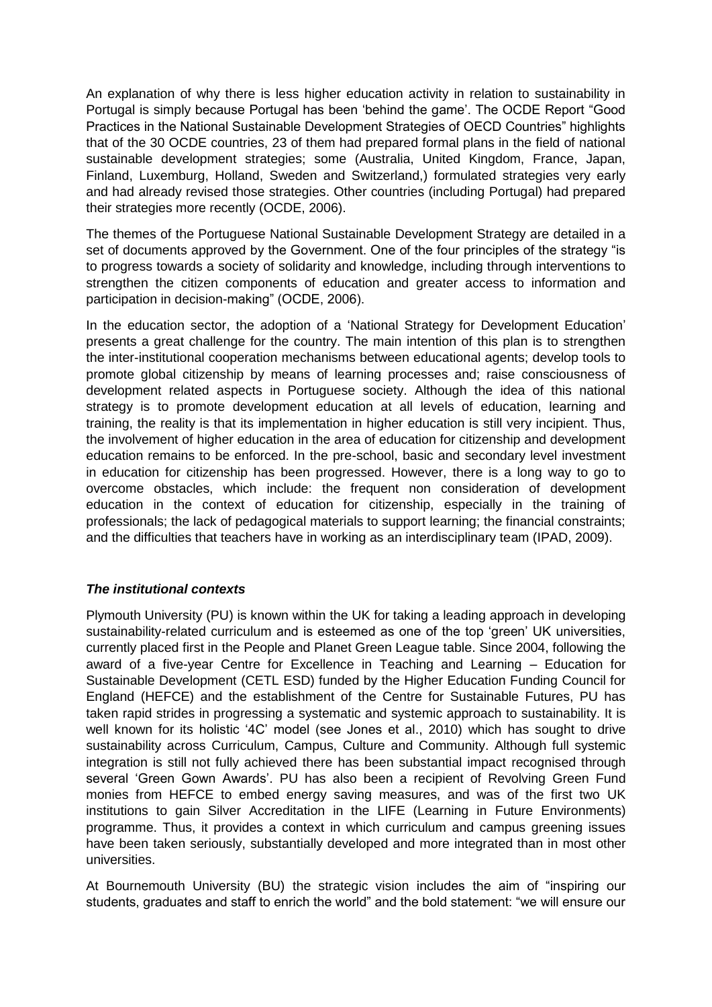An explanation of why there is less higher education activity in relation to sustainability in Portugal is simply because Portugal has been 'behind the game'. The OCDE Report "Good Practices in the National Sustainable Development Strategies of OECD Countries" highlights that of the 30 OCDE countries, 23 of them had prepared formal plans in the field of national sustainable development strategies; some (Australia, United Kingdom, France, Japan, Finland, Luxemburg, Holland, Sweden and Switzerland,) formulated strategies very early and had already revised those strategies. Other countries (including Portugal) had prepared their strategies more recently (OCDE, 2006).

The themes of the Portuguese National Sustainable Development Strategy are detailed in a set of documents approved by the Government. One of the four principles of the strategy "is to progress towards a society of solidarity and knowledge, including through interventions to strengthen the citizen components of education and greater access to information and participation in decision-making" (OCDE, 2006).

In the education sector, the adoption of a 'National Strategy for Development Education' presents a great challenge for the country. The main intention of this plan is to strengthen the inter-institutional cooperation mechanisms between educational agents; develop tools to promote global citizenship by means of learning processes and; raise consciousness of development related aspects in Portuguese society. Although the idea of this national strategy is to promote development education at all levels of education, learning and training, the reality is that its implementation in higher education is still very incipient. Thus, the involvement of higher education in the area of education for citizenship and development education remains to be enforced. In the pre-school, basic and secondary level investment in education for citizenship has been progressed. However, there is a long way to go to overcome obstacles, which include: the frequent non consideration of development education in the context of education for citizenship, especially in the training of professionals; the lack of pedagogical materials to support learning; the financial constraints; and the difficulties that teachers have in working as an interdisciplinary team (IPAD, 2009).

### *The institutional contexts*

Plymouth University (PU) is known within the UK for taking a leading approach in developing sustainability-related curriculum and is esteemed as one of the top 'green' UK universities, currently placed first in the People and Planet Green League table. Since 2004, following the award of a five-year Centre for Excellence in Teaching and Learning – Education for Sustainable Development (CETL ESD) funded by the Higher Education Funding Council for England (HEFCE) and the establishment of the Centre for Sustainable Futures, PU has taken rapid strides in progressing a systematic and systemic approach to sustainability. It is well known for its holistic '4C' model (see Jones et al., 2010) which has sought to drive sustainability across Curriculum, Campus, Culture and Community. Although full systemic integration is still not fully achieved there has been substantial impact recognised through several 'Green Gown Awards'. PU has also been a recipient of Revolving Green Fund monies from HEFCE to embed energy saving measures, and was of the first two UK institutions to gain Silver Accreditation in the LIFE (Learning in Future Environments) programme. Thus, it provides a context in which curriculum and campus greening issues have been taken seriously, substantially developed and more integrated than in most other universities.

At Bournemouth University (BU) the strategic vision includes the aim of "inspiring our students, graduates and staff to enrich the world" and the bold statement: "we will ensure our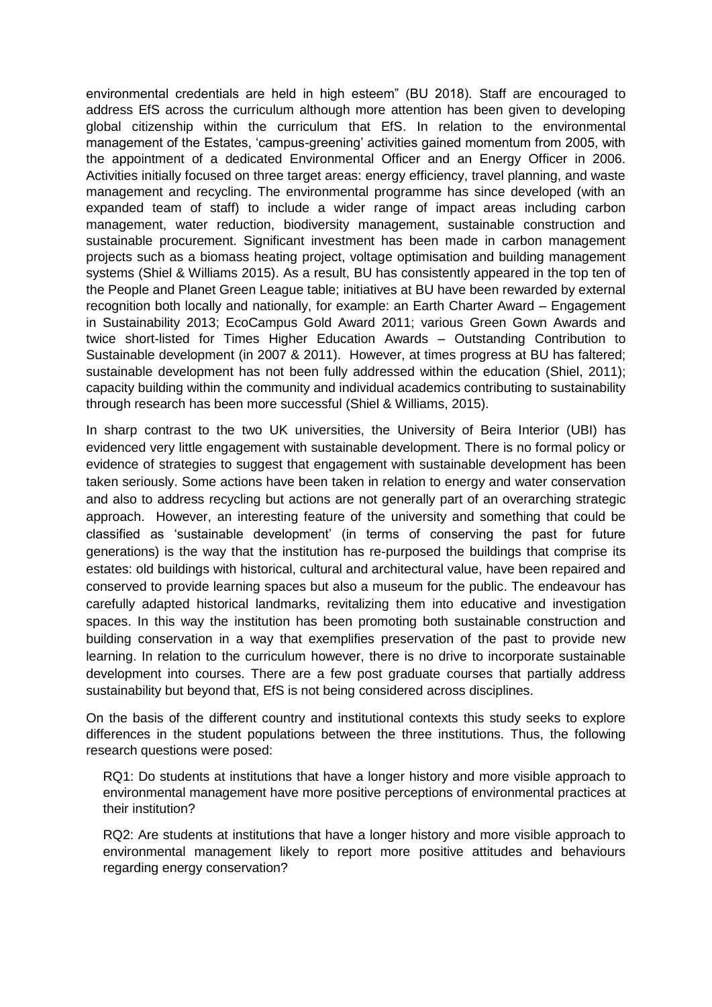environmental credentials are held in high esteem" (BU 2018). Staff are encouraged to address EfS across the curriculum although more attention has been given to developing global citizenship within the curriculum that EfS. In relation to the environmental management of the Estates, 'campus-greening' activities gained momentum from 2005, with the appointment of a dedicated Environmental Officer and an Energy Officer in 2006. Activities initially focused on three target areas: energy efficiency, travel planning, and waste management and recycling. The environmental programme has since developed (with an expanded team of staff) to include a wider range of impact areas including carbon management, water reduction, biodiversity management, sustainable construction and sustainable procurement. Significant investment has been made in carbon management projects such as a biomass heating project, voltage optimisation and building management systems (Shiel & Williams 2015). As a result, BU has consistently appeared in the top ten of the People and Planet Green League table; initiatives at BU have been rewarded by external recognition both locally and nationally, for example: an Earth Charter Award – Engagement in Sustainability 2013; EcoCampus Gold Award 2011; various Green Gown Awards and twice short-listed for Times Higher Education Awards – Outstanding Contribution to Sustainable development (in 2007 & 2011). However, at times progress at BU has faltered; sustainable development has not been fully addressed within the education (Shiel, 2011); capacity building within the community and individual academics contributing to sustainability through research has been more successful (Shiel & Williams, 2015).

In sharp contrast to the two UK universities, the University of Beira Interior (UBI) has evidenced very little engagement with sustainable development. There is no formal policy or evidence of strategies to suggest that engagement with sustainable development has been taken seriously. Some actions have been taken in relation to energy and water conservation and also to address recycling but actions are not generally part of an overarching strategic approach. However, an interesting feature of the university and something that could be classified as 'sustainable development' (in terms of conserving the past for future generations) is the way that the institution has re-purposed the buildings that comprise its estates: old buildings with historical, cultural and architectural value, have been repaired and conserved to provide learning spaces but also a museum for the public. The endeavour has carefully adapted historical landmarks, revitalizing them into educative and investigation spaces. In this way the institution has been promoting both sustainable construction and building conservation in a way that exemplifies preservation of the past to provide new learning. In relation to the curriculum however, there is no drive to incorporate sustainable development into courses. There are a few post graduate courses that partially address sustainability but beyond that, EfS is not being considered across disciplines.

On the basis of the different country and institutional contexts this study seeks to explore differences in the student populations between the three institutions. Thus, the following research questions were posed:

RQ1: Do students at institutions that have a longer history and more visible approach to environmental management have more positive perceptions of environmental practices at their institution?

RQ2: Are students at institutions that have a longer history and more visible approach to environmental management likely to report more positive attitudes and behaviours regarding energy conservation?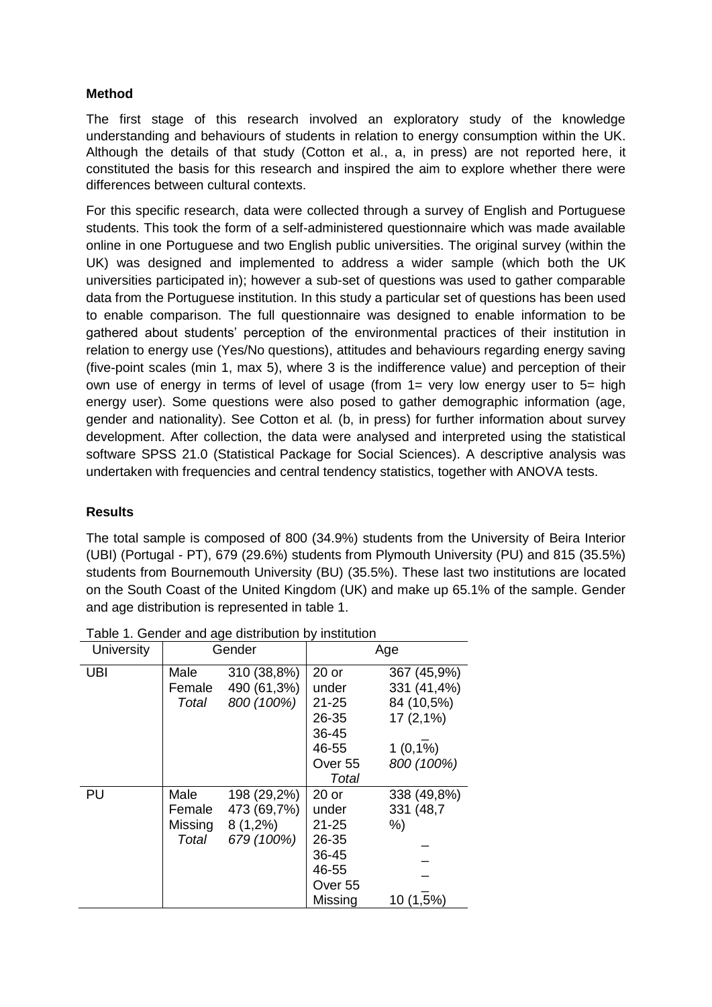## **Method**

The first stage of this research involved an exploratory study of the knowledge understanding and behaviours of students in relation to energy consumption within the UK. Although the details of that study (Cotton et al., a, in press) are not reported here, it constituted the basis for this research and inspired the aim to explore whether there were differences between cultural contexts.

For this specific research, data were collected through a survey of English and Portuguese students. This took the form of a self-administered questionnaire which was made available online in one Portuguese and two English public universities. The original survey (within the UK) was designed and implemented to address a wider sample (which both the UK universities participated in); however a sub-set of questions was used to gather comparable data from the Portuguese institution. In this study a particular set of questions has been used to enable comparison. The full questionnaire was designed to enable information to be gathered about students' perception of the environmental practices of their institution in relation to energy use (Yes/No questions), attitudes and behaviours regarding energy saving (five-point scales (min 1, max 5), where 3 is the indifference value) and perception of their own use of energy in terms of level of usage (from 1= very low energy user to 5= high energy user). Some questions were also posed to gather demographic information (age, gender and nationality). See Cotton et al*.* (b, in press) for further information about survey development. After collection, the data were analysed and interpreted using the statistical software SPSS 21.0 (Statistical Package for Social Sciences). A descriptive analysis was undertaken with frequencies and central tendency statistics, together with ANOVA tests.

# **Results**

The total sample is composed of 800 (34.9%) students from the University of Beira Interior (UBI) (Portugal - PT), 679 (29.6%) students from Plymouth University (PU) and 815 (35.5%) students from Bournemouth University (BU) (35.5%). These last two institutions are located on the South Coast of the United Kingdom (UK) and make up 65.1% of the sample. Gender and age distribution is represented in table 1.

| <b>University</b> |                                    | Gender                                                 | Age                                                                                     |                                                         |  |
|-------------------|------------------------------------|--------------------------------------------------------|-----------------------------------------------------------------------------------------|---------------------------------------------------------|--|
| UBI               | Male<br>Female<br>Total            | 310 (38,8%)<br>490 (61,3%)<br>800 (100%)               | $20$ or<br>under<br>$21 - 25$<br>26-35                                                  | 367 (45,9%)<br>331 (41,4%)<br>84 (10,5%)<br>$17(2,1\%)$ |  |
|                   |                                    |                                                        | 36-45<br>46-55                                                                          | $1(0,1\%)$                                              |  |
|                   |                                    |                                                        | Over <sub>55</sub>                                                                      | 800 (100%)                                              |  |
| PU                | Male<br>Female<br>Missing<br>Total | 198 (29,2%)<br>473 (69,7%)<br>$8(1,2\%)$<br>679 (100%) | Total<br>$20$ or<br>under<br>$21 - 25$<br>26-35<br>36-45<br>46-55<br>Over <sub>55</sub> | 338 (49,8%)<br>331 (48,7)<br>%)                         |  |
|                   |                                    |                                                        | Missing                                                                                 | 10 (1,5%)                                               |  |

Table 1. Gender and age distribution by institution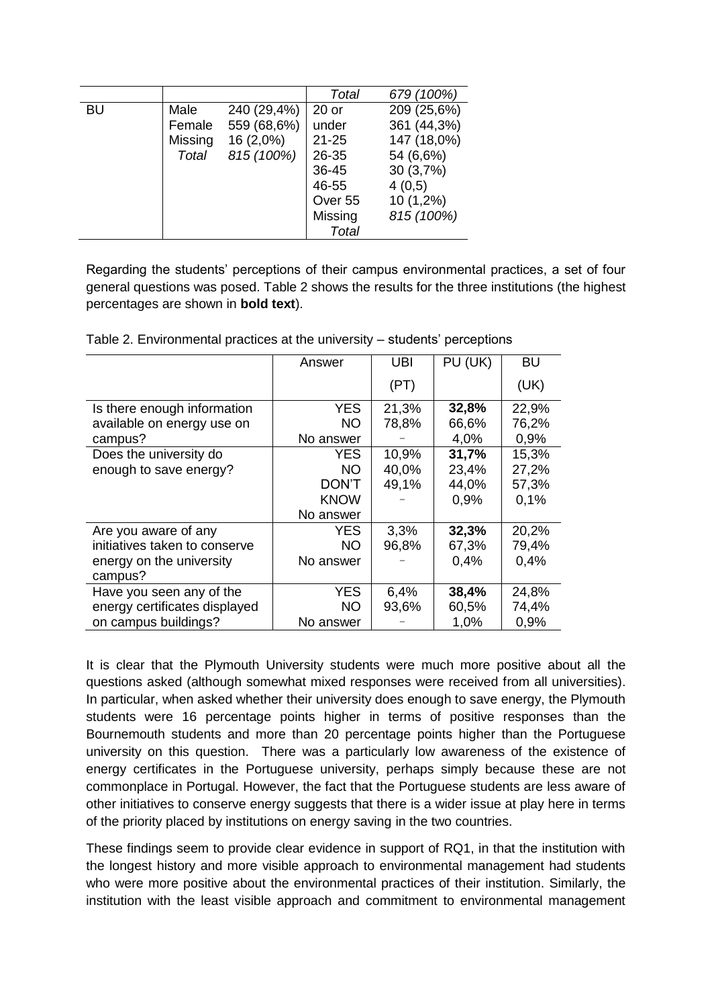|           |         |             | Total              | 679 (100%)  |
|-----------|---------|-------------|--------------------|-------------|
| <b>BU</b> | Male    | 240 (29,4%) | $20$ or            | 209 (25,6%) |
|           | Female  | 559 (68,6%) | under              | 361 (44,3%) |
|           | Missing | $16(2,0\%)$ | $21 - 25$          | 147 (18,0%) |
|           | Total   | 815 (100%)  | 26-35              | 54 (6,6%)   |
|           |         |             | 36-45              | 30(3,7%)    |
|           |         |             | 46-55              | 4(0,5)      |
|           |         |             | Over <sub>55</sub> | 10 (1,2%)   |
|           |         |             | Missing            | 815 (100%)  |
|           |         |             | Total              |             |

Regarding the students' perceptions of their campus environmental practices, a set of four general questions was posed. Table 2 shows the results for the three institutions (the highest percentages are shown in **bold text**).

|                               | Answer       | <b>UBI</b> | PU (UK) | <b>BU</b> |
|-------------------------------|--------------|------------|---------|-----------|
|                               |              | (PT)       |         | (UK)      |
| Is there enough information   | <b>YES</b>   | 21,3%      | 32,8%   | 22,9%     |
| available on energy use on    | <b>NO</b>    | 78,8%      | 66,6%   | 76,2%     |
| campus?                       | No answer    |            | 4,0%    | 0,9%      |
| Does the university do        | YES.         | 10,9%      | 31,7%   | 15,3%     |
| enough to save energy?        | <b>NO</b>    | 40,0%      | 23,4%   | 27,2%     |
|                               | <b>DON'T</b> | 49,1%      | 44,0%   | 57,3%     |
|                               | <b>KNOW</b>  |            | 0,9%    | 0,1%      |
|                               | No answer    |            |         |           |
| Are you aware of any          | YES.         | 3,3%       | 32,3%   | 20,2%     |
| initiatives taken to conserve | NO.          | 96,8%      | 67,3%   | 79,4%     |
| energy on the university      | No answer    |            | 0,4%    | 0,4%      |
| campus?                       |              |            |         |           |
| Have you seen any of the      | <b>YES</b>   | 6,4%       | 38,4%   | 24,8%     |
| energy certificates displayed | NO.          | 93,6%      | 60,5%   | 74,4%     |
| on campus buildings?          | No answer    |            | 1,0%    | 0,9%      |

Table 2. Environmental practices at the university – students' perceptions

It is clear that the Plymouth University students were much more positive about all the questions asked (although somewhat mixed responses were received from all universities). In particular, when asked whether their university does enough to save energy, the Plymouth students were 16 percentage points higher in terms of positive responses than the Bournemouth students and more than 20 percentage points higher than the Portuguese university on this question. There was a particularly low awareness of the existence of energy certificates in the Portuguese university, perhaps simply because these are not commonplace in Portugal. However, the fact that the Portuguese students are less aware of other initiatives to conserve energy suggests that there is a wider issue at play here in terms of the priority placed by institutions on energy saving in the two countries.

These findings seem to provide clear evidence in support of RQ1, in that the institution with the longest history and more visible approach to environmental management had students who were more positive about the environmental practices of their institution. Similarly, the institution with the least visible approach and commitment to environmental management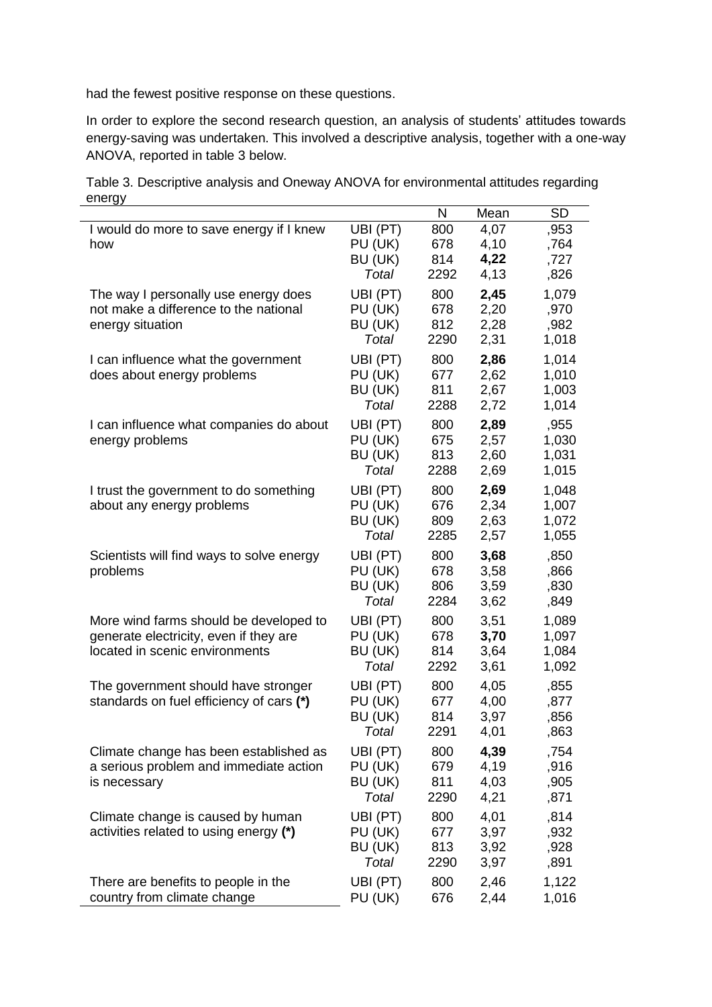had the fewest positive response on these questions.

In order to explore the second research question, an analysis of students' attitudes towards energy-saving was undertaken. This involved a descriptive analysis, together with a one-way ANOVA, reported in table 3 below.

Table 3. Descriptive analysis and Oneway ANOVA for environmental attitudes regarding energy  $\overline{\phantom{0}}$ 

|                                                                                                                    |                                         | N                         | Mean                         | SD                               |
|--------------------------------------------------------------------------------------------------------------------|-----------------------------------------|---------------------------|------------------------------|----------------------------------|
| I would do more to save energy if I knew<br>how                                                                    | UBI (PT)<br>PU (UK)<br>BU (UK)<br>Total | 800<br>678<br>814<br>2292 | 4,07<br>4,10<br>4,22<br>4,13 | ,953<br>,764<br>,727<br>,826     |
| The way I personally use energy does<br>not make a difference to the national<br>energy situation                  | UBI (PT)<br>PU (UK)<br>BU (UK)<br>Total | 800<br>678<br>812<br>2290 | 2,45<br>2,20<br>2,28<br>2,31 | 1,079<br>,970<br>,982<br>1,018   |
| I can influence what the government<br>does about energy problems                                                  | UBI (PT)<br>PU (UK)<br>BU (UK)<br>Total | 800<br>677<br>811<br>2288 | 2,86<br>2,62<br>2,67<br>2,72 | 1,014<br>1,010<br>1,003<br>1,014 |
| I can influence what companies do about<br>energy problems                                                         | UBI (PT)<br>PU (UK)<br>BU (UK)<br>Total | 800<br>675<br>813<br>2288 | 2,89<br>2,57<br>2,60<br>2,69 | ,955<br>1,030<br>1,031<br>1,015  |
| I trust the government to do something<br>about any energy problems                                                | UBI (PT)<br>PU (UK)<br>BU (UK)<br>Total | 800<br>676<br>809<br>2285 | 2,69<br>2,34<br>2,63<br>2,57 | 1,048<br>1,007<br>1,072<br>1,055 |
| Scientists will find ways to solve energy<br>problems                                                              | UBI (PT)<br>PU (UK)<br>BU (UK)<br>Total | 800<br>678<br>806<br>2284 | 3,68<br>3,58<br>3,59<br>3,62 | ,850<br>,866<br>,830<br>,849     |
| More wind farms should be developed to<br>generate electricity, even if they are<br>located in scenic environments | UBI (PT)<br>PU (UK)<br>BU (UK)<br>Total | 800<br>678<br>814<br>2292 | 3,51<br>3,70<br>3,64<br>3,61 | 1,089<br>1,097<br>1,084<br>1,092 |
| The government should have stronger<br>standards on fuel efficiency of cars (*)                                    | UBI (PT)<br>PU (UK)<br>BU (UK)<br>Total | 800<br>677<br>814<br>2291 | 4,05<br>4,00<br>3,97<br>4,01 | ,855<br>,877<br>,856<br>,863     |
| Climate change has been established as<br>a serious problem and immediate action<br>is necessary                   | UBI (PT)<br>PU (UK)<br>BU (UK)<br>Total | 800<br>679<br>811<br>2290 | 4,39<br>4,19<br>4,03<br>4,21 | ,754<br>,916<br>,905<br>,871     |
| Climate change is caused by human<br>activities related to using energy (*)                                        | UBI (PT)<br>PU (UK)<br>BU (UK)<br>Total | 800<br>677<br>813<br>2290 | 4,01<br>3,97<br>3,92<br>3,97 | ,814<br>,932<br>,928<br>,891     |
| There are benefits to people in the<br>country from climate change                                                 | UBI (PT)<br>PU (UK)                     | 800<br>676                | 2,46<br>2,44                 | 1,122<br>1,016                   |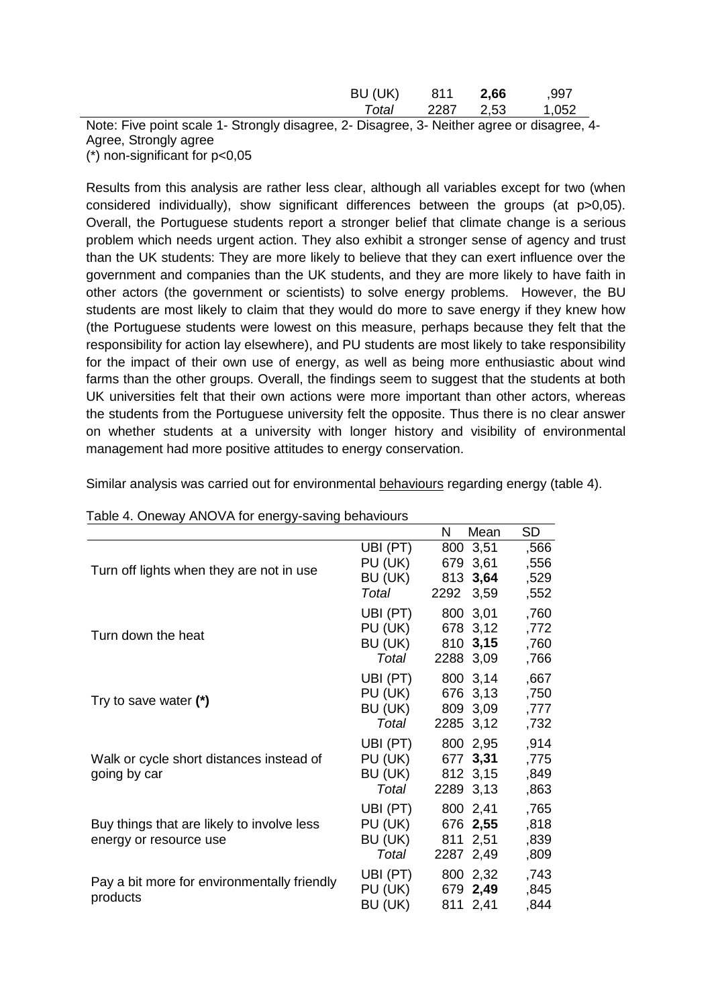| BU (UK) | 811  | 2,66 | ,997  |
|---------|------|------|-------|
| Total   | 2287 | 2,53 | 1,052 |

Note: Five point scale 1- Strongly disagree, 2- Disagree, 3- Neither agree or disagree, 4- Agree, Strongly agree  $(*)$  non-significant for  $p<0.05$ 

Results from this analysis are rather less clear, although all variables except for two (when considered individually), show significant differences between the groups (at p>0,05). Overall, the Portuguese students report a stronger belief that climate change is a serious problem which needs urgent action. They also exhibit a stronger sense of agency and trust than the UK students: They are more likely to believe that they can exert influence over the government and companies than the UK students, and they are more likely to have faith in other actors (the government or scientists) to solve energy problems. However, the BU students are most likely to claim that they would do more to save energy if they knew how (the Portuguese students were lowest on this measure, perhaps because they felt that the responsibility for action lay elsewhere), and PU students are most likely to take responsibility for the impact of their own use of energy, as well as being more enthusiastic about wind farms than the other groups. Overall, the findings seem to suggest that the students at both UK universities felt that their own actions were more important than other actors, whereas the students from the Portuguese university felt the opposite. Thus there is no clear answer on whether students at a university with longer history and visibility of environmental management had more positive attitudes to energy conservation.

| Table 4. Oneway ANOVA for energy-saving behaviours                   |                                         |             |                                               |                              |  |
|----------------------------------------------------------------------|-----------------------------------------|-------------|-----------------------------------------------|------------------------------|--|
|                                                                      |                                         | N           | Mean                                          | <b>SD</b>                    |  |
| Turn off lights when they are not in use                             | UBI (PT)<br>PU (UK)<br>BU (UK)<br>Total | 813<br>2292 | 800 3,51<br>679 3,61<br>3,64<br>3,59          | ,566<br>,556<br>,529<br>,552 |  |
| Turn down the heat                                                   | UBI (PT)<br>PU (UK)<br>BU (UK)<br>Total |             | 800 3,01<br>678 3,12<br>810 3,15<br>2288 3,09 | ,760<br>,772<br>,760<br>,766 |  |
| Try to save water $(*)$                                              | UBI (PT)<br>PU (UK)<br>BU (UK)<br>Total |             | 800 3,14<br>676 3,13<br>809 3,09<br>2285 3,12 | ,667<br>,750<br>,777<br>,732 |  |
| Walk or cycle short distances instead of<br>going by car             | UBI (PT)<br>PU (UK)<br>BU (UK)<br>Total |             | 800 2,95<br>677 3,31<br>812 3,15<br>2289 3,13 | ,914<br>,775<br>,849<br>,863 |  |
| Buy things that are likely to involve less<br>energy or resource use | UBI (PT)<br>PU (UK)<br>BU (UK)<br>Total | 811         | 800 2,41<br>676 2,55<br>2,51<br>2287 2,49     | ,765<br>,818<br>,839<br>,809 |  |
| Pay a bit more for environmentally friendly<br>products              | UBI (PT)<br>PU (UK)<br>BU (UK)          |             | 800 2,32<br>679 2,49<br>811 2,41              | ,743<br>,845<br>,844         |  |

Similar analysis was carried out for environmental behaviours regarding energy (table 4).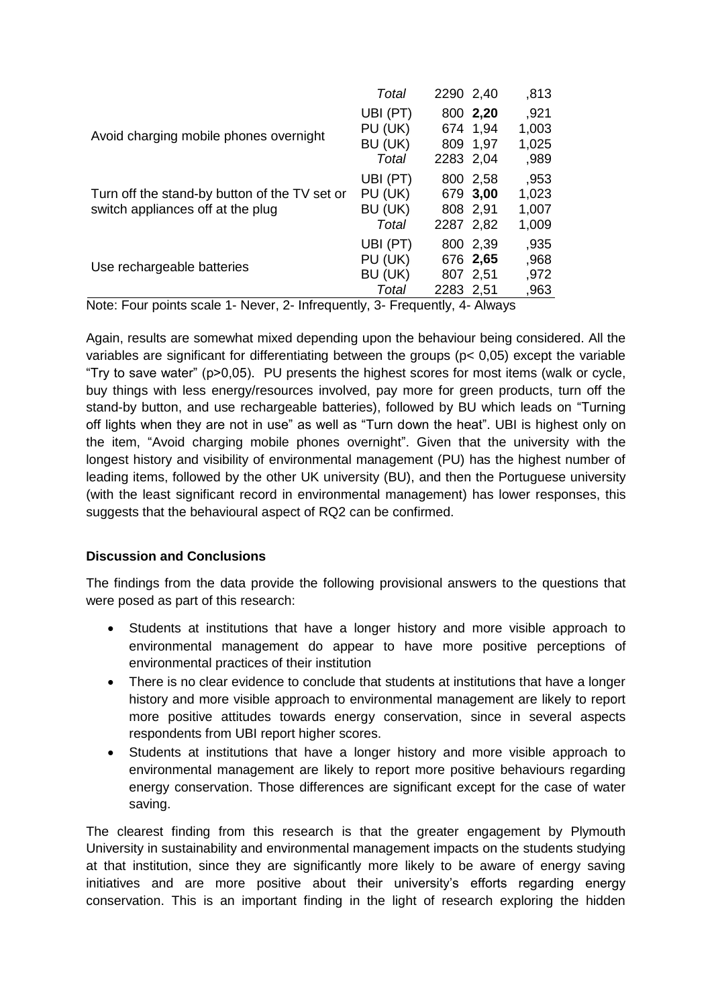|                                                                                    | Total                                   | 2290 2,40 |                                  | ,813                            |
|------------------------------------------------------------------------------------|-----------------------------------------|-----------|----------------------------------|---------------------------------|
| Avoid charging mobile phones overnight                                             | UBI (PT)<br>PU (UK)<br>BU (UK)<br>Total | 2283 2,04 | 800 2,20<br>674 1,94<br>809 1,97 | ,921<br>1,003<br>1,025<br>,989  |
| Turn off the stand-by button of the TV set or<br>switch appliances off at the plug | UBI (PT)<br>PU (UK)<br>BU (UK)<br>Total | 2287 2,82 | 800 2.58<br>679 3,00<br>808 2,91 | ,953<br>1,023<br>1,007<br>1,009 |
| Use rechargeable batteries                                                         | UBI (PT)<br>PU (UK)<br>BU (UK)<br>Total | 2283 2,51 | 800 2,39<br>676 2,65<br>807 2,51 | ,935<br>,968<br>,972<br>,963    |

Note: Four points scale 1- Never, 2- Infrequently, 3- Frequently, 4- Always

Again, results are somewhat mixed depending upon the behaviour being considered. All the variables are significant for differentiating between the groups ( $p < 0.05$ ) except the variable "Try to save water" (p>0,05). PU presents the highest scores for most items (walk or cycle, buy things with less energy/resources involved, pay more for green products, turn off the stand-by button, and use rechargeable batteries), followed by BU which leads on "Turning off lights when they are not in use" as well as "Turn down the heat". UBI is highest only on the item, "Avoid charging mobile phones overnight". Given that the university with the longest history and visibility of environmental management (PU) has the highest number of leading items, followed by the other UK university (BU), and then the Portuguese university (with the least significant record in environmental management) has lower responses, this suggests that the behavioural aspect of RQ2 can be confirmed.

# **Discussion and Conclusions**

The findings from the data provide the following provisional answers to the questions that were posed as part of this research:

- Students at institutions that have a longer history and more visible approach to environmental management do appear to have more positive perceptions of environmental practices of their institution
- There is no clear evidence to conclude that students at institutions that have a longer history and more visible approach to environmental management are likely to report more positive attitudes towards energy conservation, since in several aspects respondents from UBI report higher scores.
- Students at institutions that have a longer history and more visible approach to environmental management are likely to report more positive behaviours regarding energy conservation. Those differences are significant except for the case of water saving.

The clearest finding from this research is that the greater engagement by Plymouth University in sustainability and environmental management impacts on the students studying at that institution, since they are significantly more likely to be aware of energy saving initiatives and are more positive about their university's efforts regarding energy conservation. This is an important finding in the light of research exploring the hidden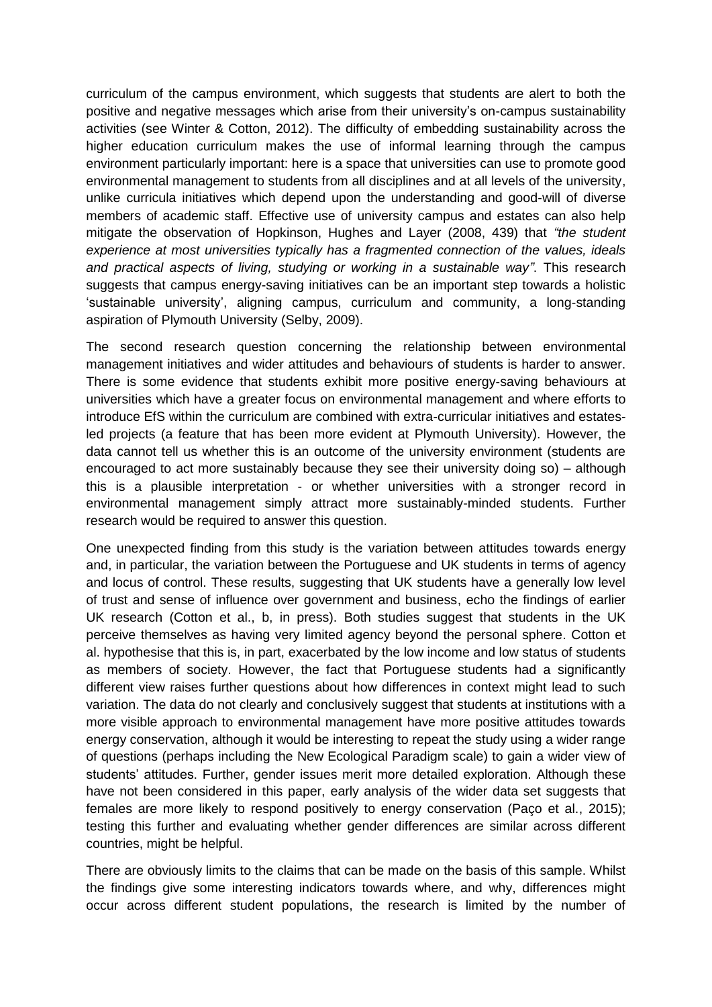curriculum of the campus environment, which suggests that students are alert to both the positive and negative messages which arise from their university's on-campus sustainability activities (see Winter & Cotton, 2012). The difficulty of embedding sustainability across the higher education curriculum makes the use of informal learning through the campus environment particularly important: here is a space that universities can use to promote good environmental management to students from all disciplines and at all levels of the university, unlike curricula initiatives which depend upon the understanding and good-will of diverse members of academic staff. Effective use of university campus and estates can also help mitigate the observation of Hopkinson, Hughes and Layer (2008, 439) that *"the student experience at most universities typically has a fragmented connection of the values, ideals and practical aspects of living, studying or working in a sustainable way"*. This research suggests that campus energy-saving initiatives can be an important step towards a holistic 'sustainable university', aligning campus, curriculum and community, a long-standing aspiration of Plymouth University (Selby, 2009).

The second research question concerning the relationship between environmental management initiatives and wider attitudes and behaviours of students is harder to answer. There is some evidence that students exhibit more positive energy-saving behaviours at universities which have a greater focus on environmental management and where efforts to introduce EfS within the curriculum are combined with extra-curricular initiatives and estatesled projects (a feature that has been more evident at Plymouth University). However, the data cannot tell us whether this is an outcome of the university environment (students are encouraged to act more sustainably because they see their university doing so) – although this is a plausible interpretation - or whether universities with a stronger record in environmental management simply attract more sustainably-minded students. Further research would be required to answer this question.

One unexpected finding from this study is the variation between attitudes towards energy and, in particular, the variation between the Portuguese and UK students in terms of agency and locus of control. These results, suggesting that UK students have a generally low level of trust and sense of influence over government and business, echo the findings of earlier UK research (Cotton et al., b, in press). Both studies suggest that students in the UK perceive themselves as having very limited agency beyond the personal sphere. Cotton et al. hypothesise that this is, in part, exacerbated by the low income and low status of students as members of society. However, the fact that Portuguese students had a significantly different view raises further questions about how differences in context might lead to such variation. The data do not clearly and conclusively suggest that students at institutions with a more visible approach to environmental management have more positive attitudes towards energy conservation, although it would be interesting to repeat the study using a wider range of questions (perhaps including the New Ecological Paradigm scale) to gain a wider view of students' attitudes. Further, gender issues merit more detailed exploration. Although these have not been considered in this paper, early analysis of the wider data set suggests that females are more likely to respond positively to energy conservation (Paço et al., 2015); testing this further and evaluating whether gender differences are similar across different countries, might be helpful.

There are obviously limits to the claims that can be made on the basis of this sample. Whilst the findings give some interesting indicators towards where, and why, differences might occur across different student populations, the research is limited by the number of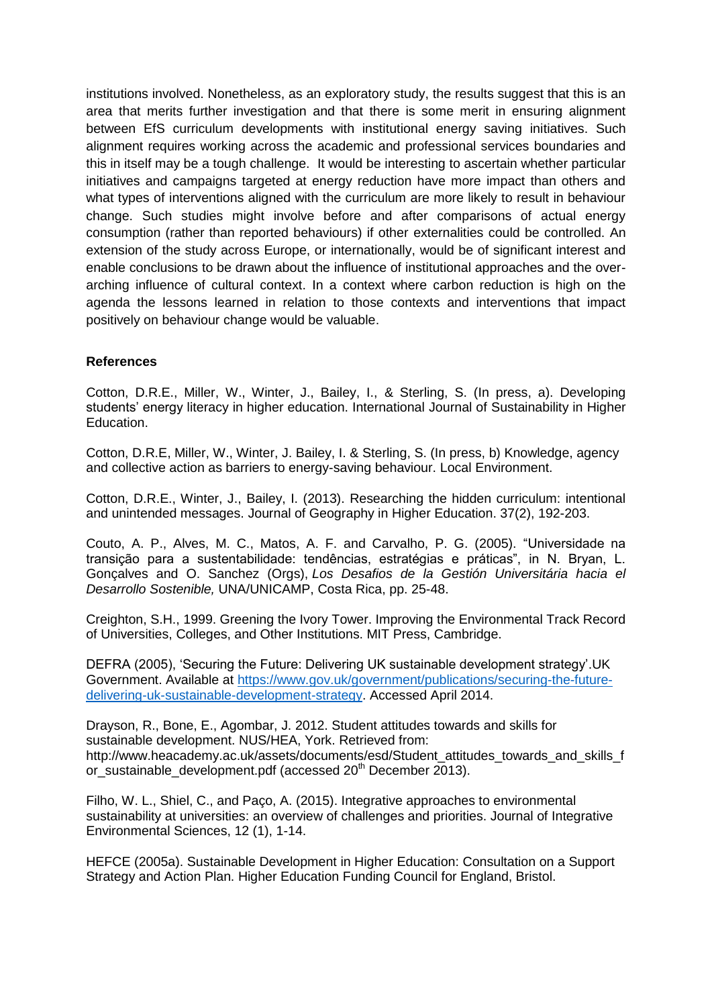institutions involved. Nonetheless, as an exploratory study, the results suggest that this is an area that merits further investigation and that there is some merit in ensuring alignment between EfS curriculum developments with institutional energy saving initiatives. Such alignment requires working across the academic and professional services boundaries and this in itself may be a tough challenge. It would be interesting to ascertain whether particular initiatives and campaigns targeted at energy reduction have more impact than others and what types of interventions aligned with the curriculum are more likely to result in behaviour change. Such studies might involve before and after comparisons of actual energy consumption (rather than reported behaviours) if other externalities could be controlled. An extension of the study across Europe, or internationally, would be of significant interest and enable conclusions to be drawn about the influence of institutional approaches and the overarching influence of cultural context. In a context where carbon reduction is high on the agenda the lessons learned in relation to those contexts and interventions that impact positively on behaviour change would be valuable.

### **References**

Cotton, D.R.E., Miller, W., Winter, J., Bailey, I., & Sterling, S. (In press, a). Developing students' energy literacy in higher education. International Journal of Sustainability in Higher Education.

Cotton, D.R.E, Miller, W., Winter, J. Bailey, I. & Sterling, S. (In press, b) Knowledge, agency and collective action as barriers to energy-saving behaviour. Local Environment.

Cotton, D.R.E., Winter, J., Bailey, I. (2013). Researching the hidden curriculum: intentional and unintended messages. Journal of Geography in Higher Education. 37(2), 192-203.

Couto, A. P., Alves, M. C., Matos, A. F. and Carvalho, P. G. (2005). "Universidade na transição para a sustentabilidade: tendências, estratégias e práticas", in N. Bryan, L. Gonçalves and O. Sanchez (Orgs), *Los Desafios de la Gestión Universitária hacia el Desarrollo Sostenible,* UNA/UNICAMP, Costa Rica, pp. 25-48.

Creighton, S.H., 1999. Greening the Ivory Tower. Improving the Environmental Track Record of Universities, Colleges, and Other Institutions. MIT Press, Cambridge.

DEFRA (2005), 'Securing the Future: Delivering UK sustainable development strategy'.UK Government. Available at [https://www.gov.uk/government/publications/securing-the-future](https://www.gov.uk/government/publications/securing-the-future-delivering-uk-sustainable-development-strategy)[delivering-uk-sustainable-development-strategy.](https://www.gov.uk/government/publications/securing-the-future-delivering-uk-sustainable-development-strategy) Accessed April 2014.

Drayson, R., Bone, E., Agombar, J. 2012. Student attitudes towards and skills for sustainable development. NUS/HEA, York. Retrieved from: [http://www.heacademy.ac.uk/assets/documents/esd/Student\\_attitudes\\_towards\\_and\\_skills\\_f](http://www.heacademy.ac.uk/assets/documents/esd/Student_attitudes_towards_and_skills_for_sustainable_development.pdf) [or\\_sustainable\\_development.pdf](http://www.heacademy.ac.uk/assets/documents/esd/Student_attitudes_towards_and_skills_for_sustainable_development.pdf) (accessed 20<sup>th</sup> December 2013).

Filho, W. L., Shiel, C., and Paço, A. (2015). Integrative approaches to environmental sustainability at universities: an overview of challenges and priorities. Journal of Integrative Environmental Sciences, 12 (1), 1-14.

HEFCE (2005a). Sustainable Development in Higher Education: Consultation on a Support Strategy and Action Plan. Higher Education Funding Council for England, Bristol.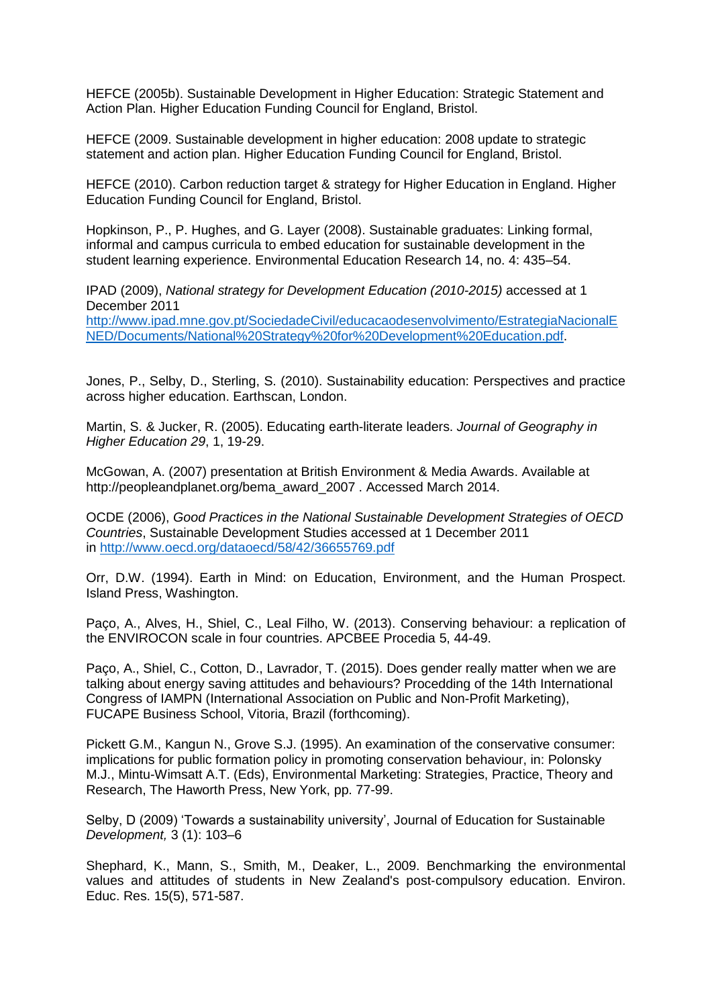HEFCE (2005b). Sustainable Development in Higher Education: Strategic Statement and Action Plan. Higher Education Funding Council for England, Bristol.

HEFCE (2009. Sustainable development in higher education: 2008 update to strategic statement and action plan. Higher Education Funding Council for England, Bristol.

HEFCE (2010). Carbon reduction target & strategy for Higher Education in England. Higher Education Funding Council for England, Bristol.

Hopkinson, P., P. Hughes, and G. Layer (2008). Sustainable graduates: Linking formal, informal and campus curricula to embed education for sustainable development in the student learning experience. Environmental Education Research 14, no. 4: 435–54.

IPAD (2009), *National strategy for Development Education (2010-2015)* accessed at 1 December 2011

[http://www.ipad.mne.gov.pt/SociedadeCivil/educacaodesenvolvimento/EstrategiaNacionalE](http://www.ipad.mne.gov.pt/SociedadeCivil/educacaodesenvolvimento/EstrategiaNacionalENED/Documents/National%20Strategy%20for%20Development%20Education.pdf) [NED/Documents/National%20Strategy%20for%20Development%20Education.pdf.](http://www.ipad.mne.gov.pt/SociedadeCivil/educacaodesenvolvimento/EstrategiaNacionalENED/Documents/National%20Strategy%20for%20Development%20Education.pdf)

Jones, P., Selby, D., Sterling, S. (2010). Sustainability education: Perspectives and practice across higher education. Earthscan, London.

Martin, S. & Jucker, R. (2005). Educating earth-literate leaders. *Journal of Geography in Higher Education 29*, 1, 19-29.

McGowan, A. (2007) presentation at British Environment & Media Awards. Available at http://peopleandplanet.org/bema\_award\_2007 . Accessed March 2014.

OCDE (2006), *Good Practices in the National Sustainable Development Strategies of OECD Countries*, Sustainable Development Studies accessed at 1 December 2011 in <http://www.oecd.org/dataoecd/58/42/36655769.pdf>

Orr, D.W. (1994). Earth in Mind: on Education, Environment, and the Human Prospect. Island Press, Washington.

Paço, A., Alves, H., Shiel, C., Leal Filho, W. (2013). Conserving behaviour: a replication of the ENVIROCON scale in four countries. APCBEE Procedia [5,](http://www.sciencedirect.com/science/journal/22126708/5/supp/C) 44-49.

Paço, A., Shiel, C., Cotton, D., Lavrador, T. (2015). Does gender really matter when we are talking about energy saving attitudes and behaviours? Procedding of the 14th International Congress of IAMPN (International Association on Public and Non-Profit Marketing), FUCAPE Business School, Vitoria, Brazil (forthcoming).

Pickett G.M., Kangun N., Grove S.J. (1995). An examination of the conservative consumer: implications for public formation policy in promoting conservation behaviour, in: Polonsky M.J., Mintu-Wimsatt A.T. (Eds), Environmental Marketing: Strategies, Practice, Theory and Research, The Haworth Press, New York, pp. 77-99.

Selby, D (2009) 'Towards a sustainability university', Journal of Education for Sustainable *Development,* 3 (1): 103–6

Shephard, K., Mann, S., Smith, M., Deaker, L., 2009. Benchmarking the environmental values and attitudes of students in New Zealand's post-compulsory education. Environ. Educ. Res. 15(5), 571-587.